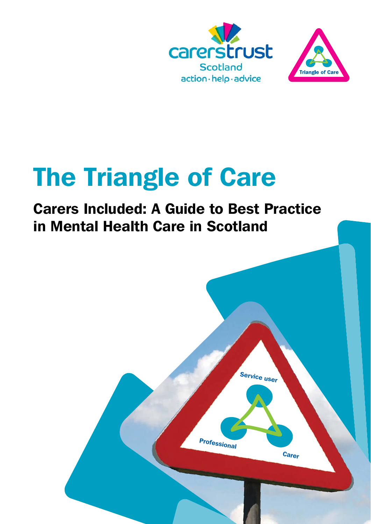



# The Triangle of Care

### Carers Included: A Guide to Best Practice in Mental Health Care in Scotland

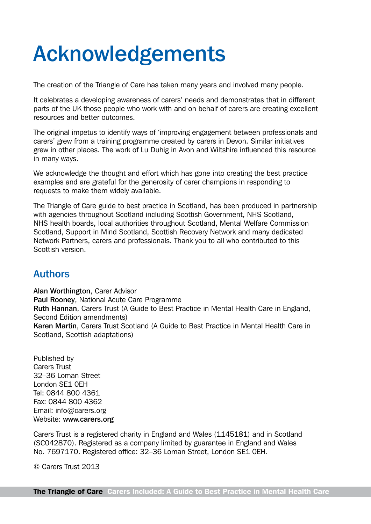# Acknowledgements

The creation of the Triangle of Care has taken many years and involved many people.

It celebrates a developing awareness of carers' needs and demonstrates that in different parts of the UK those people who work with and on behalf of carers are creating excellent resources and better outcomes.

The original impetus to identify ways of 'improving engagement between professionals and carers' grew from a training programme created by carers in Devon. Similar initiatives grew in other places. The work of Lu Duhig in Avon and Wiltshire influenced this resource in many ways.

We acknowledge the thought and effort which has gone into creating the best practice examples and are grateful for the generosity of carer champions in responding to requests to make them widely available.

The Triangle of Care guide to best practice in Scotland, has been produced in partnership with agencies throughout Scotland including Scottish Government, NHS Scotland, NHS health boards, local authorities throughout Scotland, Mental Welfare Commission Scotland, Support in Mind Scotland, Scottish Recovery Network and many dedicated Network Partners, carers and professionals. Thank you to all who contributed to this Scottish version.

#### Authors

Alan Worthington, Carer Advisor Paul Rooney, National Acute Care Programme Ruth Hannan, Carers Trust (A Guide to Best Practice in Mental Health Care in England, Second Edition amendments) Karen Martin, Carers Trust Scotland (A Guide to Best Practice in Mental Health Care in Scotland, Scottish adaptations)

Published by Carers Trust 32–36 Loman Street London SE1 0EH Tel: 0844 800 4361 Fax: 0844 800 4362 Email: [info@carers.org](mailto:info@carers.org) Website: [www.carers.org](http://www.carers.org)

Carers Trust is a registered charity in England and Wales (1145181) and in Scotland (SC042870). Registered as a company limited by guarantee in England and Wales No. 7697170. Registered office: 32–36 Loman Street, London SE1 0EH.

© Carers Trust 2013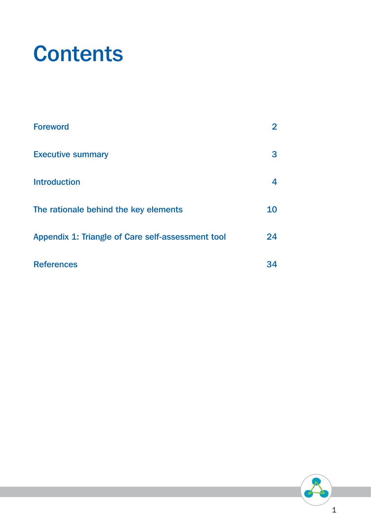# **Contents**

| <b>Foreword</b>                                   | 2  |
|---------------------------------------------------|----|
| <b>Executive summary</b>                          | 3  |
| <b>Introduction</b>                               | 4  |
| The rationale behind the key elements             | 10 |
| Appendix 1: Triangle of Care self-assessment tool | 24 |
| <b>References</b>                                 | 34 |

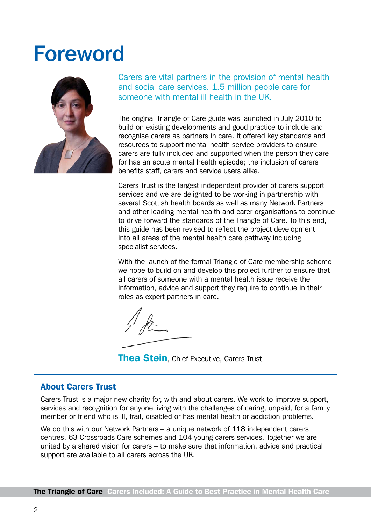### <span id="page-3-0"></span>Foreword



Carers are vital partners in the provision of mental health and social care services. 1.5 million people care for someone with mental ill health in the UK.

The original Triangle of Care guide was launched in July 2010 to build on existing developments and good practice to include and recognise carers as partners in care. It offered key standards and resources to support mental health service providers to ensure carers are fully included and supported when the person they care for has an acute mental health episode; the inclusion of carers benefits staff, carers and service users alike.

Carers Trust is the largest independent provider of carers support services and we are delighted to be working in partnership with several Scottish health boards as well as many Network Partners and other leading mental health and carer organisations to continue to drive forward the standards of the Triangle of Care. To this end, this guide has been revised to reflect the project development into all areas of the mental health care pathway including specialist services.

With the launch of the formal Triangle of Care membership scheme we hope to build on and develop this project further to ensure that all carers of someone with a mental health issue receive the information, advice and support they require to continue in their roles as expert partners in care.

**Thea Stein.** Chief Executive, Carers Trust

#### About Carers Trust

Carers Trust is a major new charity for, with and about carers. We work to improve support, services and recognition for anyone living with the challenges of caring, unpaid, for a family member or friend who is ill, frail, disabled or has mental health or addiction problems.

We do this with our Network Partners – a unique network of 118 independent carers centres, 63 Crossroads Care schemes and 104 young carers services. Together we are united by a shared vision for carers – to make sure that information, advice and practical support are available to all carers across the UK.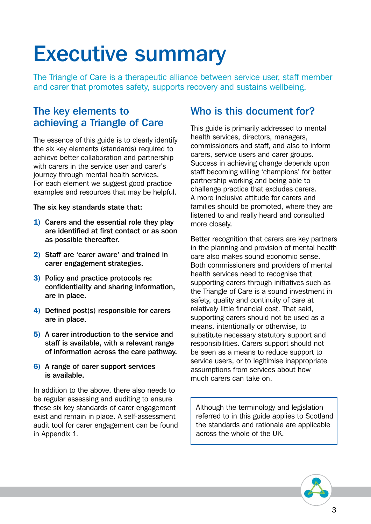# <span id="page-4-0"></span>Executive summary

The Triangle of Care is a therapeutic alliance between service user, staff member and carer that promotes safety, supports recovery and sustains wellbeing.

#### The key elements to achieving a Triangle of Care

The essence of this guide is to clearly identify the six key elements (standards) required to achieve better collaboration and partnership with carers in the service user and carer's journey through mental health services. For each element we suggest good practice examples and resources that may be helpful.

The six key standards state that:

- 1) Carers and the essential role they play are identified at first contact or as soon as possible thereafter.
- 2) Staff are 'carer aware' and trained in carer engagement strategies.
- 3) Policy and practice protocols re: confidentiality and sharing information, are in place.
- 4) Defined post(s) responsible for carers are in place.
- 5) A carer introduction to the service and staff is available, with a relevant range of information across the care pathway.
- 6) A range of carer support services is available.

In addition to the above, there also needs to be regular assessing and auditing to ensure these six key standards of carer engagement exist and remain in place. A self-assessment audit tool for carer engagement can be found in Appendix 1.

#### Who is this document for?

This guide is primarily addressed to mental health services, directors, managers, commissioners and staff, and also to inform carers, service users and carer groups. Success in achieving change depends upon staff becoming willing 'champions' for better partnership working and being able to challenge practice that excludes carers. A more inclusive attitude for carers and families should be promoted, where they are listened to and really heard and consulted more closely.

Better recognition that carers are key partners in the planning and provision of mental health care also makes sound economic sense. Both commissioners and providers of mental health services need to recognise that supporting carers through initiatives such as the Triangle of Care is a sound investment in safety, quality and continuity of care at relatively little financial cost. That said, supporting carers should not be used as a means, intentionally or otherwise, to substitute necessary statutory support and responsibilities. Carers support should not be seen as a means to reduce support to service users, or to legitimise inappropriate assumptions from services about how much carers can take on.

Although the terminology and legislation referred to in this guide applies to Scotland the standards and rationale are applicable across the whole of the UK.

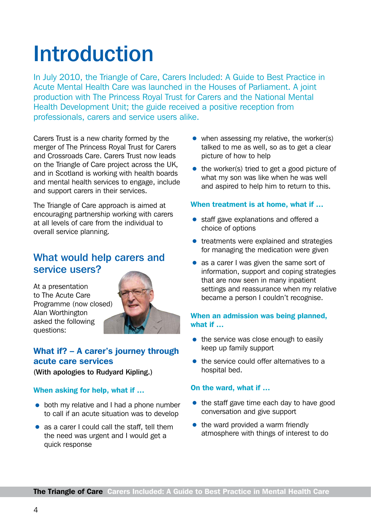# <span id="page-5-0"></span>Introduction

In July 2010, the Triangle of Care, Carers Included: A Guide to Best Practice in Acute Mental Health Care was launched in the Houses of Parliament. A joint production with The Princess Royal Trust for Carers and the National Mental Health Development Unit; the guide received a positive reception from professionals, carers and service users alike.

Carers Trust is a new charity formed by the merger of The Princess Royal Trust for Carers and Crossroads Care. Carers Trust now leads on the Triangle of Care project across the UK, and in Scotland is working with health boards and mental health services to engage, include and support carers in their services.

The Triangle of Care approach is aimed at encouraging partnership working with carers at all levels of care from the individual to overall service planning.

#### What would help carers and service users?

At a presentation to The Acute Care Programme (now closed) Alan Worthington asked the following questions:



#### What if? – A carer's journey through acute care services

(With apologies to Rudyard Kipling.)

#### When asking for help, what if …

- both my relative and I had a phone number to call if an acute situation was to develop
- as a carer I could call the staff, tell them the need was urgent and I would get a quick response
- $\bullet$  when assessing my relative, the worker(s) talked to me as well, so as to get a clear picture of how to help
- the worker(s) tried to get a good picture of what my son was like when he was well and aspired to help him to return to this.

#### When treatment is at home, what if …

- staff gave explanations and offered a choice of options
- treatments were explained and strategies for managing the medication were given
- as a carer I was given the same sort of information, support and coping strategies that are now seen in many inpatient settings and reassurance when my relative became a person I couldn't recognise.

#### When an admission was being planned, what if …

- the service was close enough to easily keep up family support
- the service could offer alternatives to a hospital bed.

#### On the ward, what if …

- $\bullet$  the staff gave time each day to have good conversation and give support
- $\bullet$  the ward provided a warm friendly atmosphere with things of interest to do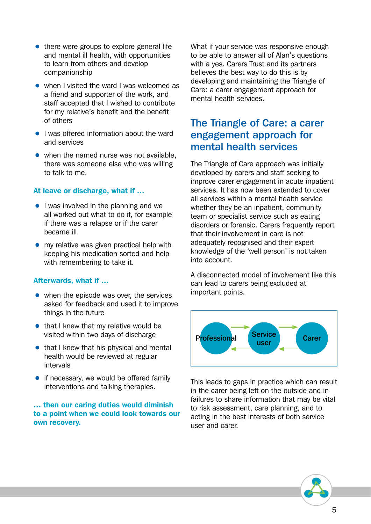- $\bullet$  there were groups to explore general life and mental ill health, with opportunities to learn from others and develop companionship
- when I visited the ward I was welcomed as a friend and supporter of the work, and staff accepted that I wished to contribute for my relative's benefit and the benefit of others
- I was offered information about the ward and services
- $\bullet$  when the named nurse was not available. there was someone else who was willing to talk to me.

#### At leave or discharge, what if …

- I was involved in the planning and we all worked out what to do if, for example if there was a relapse or if the carer became ill
- my relative was given practical help with keeping his medication sorted and help with remembering to take it.

#### Afterwards, what if …

- $\bullet$  when the episode was over, the services asked for feedback and used it to improve things in the future
- $\bullet$  that I knew that my relative would be visited within two days of discharge
- $\bullet$  that I knew that his physical and mental health would be reviewed at regular intervals
- $\bullet$  if necessary, we would be offered family interventions and talking therapies.

#### … then our caring duties would diminish to a point when we could look towards our own recovery.

What if your service was responsive enough to be able to answer all of Alan's questions with a yes. Carers Trust and its partners believes the best way to do this is by developing and maintaining the Triangle of Care: a carer engagement approach for mental health services.

#### The Triangle of Care: a carer engagement approach for mental health services

The Triangle of Care approach was initially developed by carers and staff seeking to improve carer engagement in acute inpatient services. It has now been extended to cover all services within a mental health service whether they be an inpatient, community team or specialist service such as eating disorders or forensic. Carers frequently report that their involvement in care is not adequately recognised and their expert knowledge of the 'well person' is not taken into account.

A disconnected model of involvement like this can lead to carers being excluded at important points.



This leads to gaps in practice which can result in the carer being left on the outside and in failures to share information that may be vital to risk assessment, care planning, and to acting in the best interests of both service user and carer.

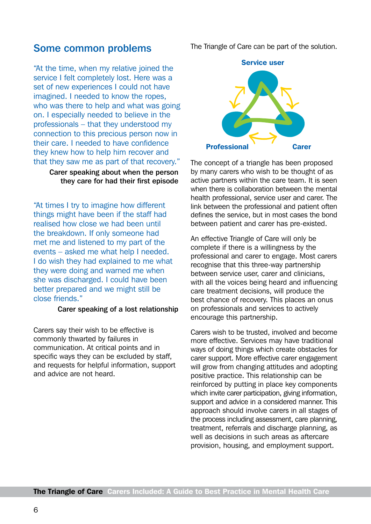#### Some common problems

"At the time, when my relative joined the service I felt completely lost. Here was a set of new experiences I could not have imagined. I needed to know the ropes, who was there to help and what was going on. I especially needed to believe in the professionals – that they understood my connection to this precious person now in their care. I needed to have confidence they knew how to help him recover and that they saw me as part of that recovery."

> Carer speaking about when the person they care for had their first episode

"At times I try to imagine how different things might have been if the staff had realised how close we had been until the breakdown. If only someone had met me and listened to my part of the events – asked me what help I needed. I do wish they had explained to me what they were doing and warned me when she was discharged. I could have been better prepared and we might still be close friends."

#### Carer speaking of a lost relationship

Carers say their wish to be effective is commonly thwarted by failures in communication. At critical points and in specific ways they can be excluded by staff, and requests for helpful information, support and advice are not heard.

The Triangle of Care can be part of the solution.



The concept of a triangle has been proposed by many carers who wish to be thought of as active partners within the care team. It is seen when there is collaboration between the mental health professional, service user and carer. The link between the professional and patient often defines the service, but in most cases the bond between patient and carer has pre-existed.

An effective Triangle of Care will only be complete if there is a willingness by the professional and carer to engage. Most carers recognise that this three-way partnership between service user, carer and clinicians, with all the voices being heard and influencing care treatment decisions, will produce the best chance of recovery. This places an onus on professionals and services to actively encourage this partnership.

Carers wish to be trusted, involved and become more effective. Services may have traditional ways of doing things which create obstacles for carer support. More effective carer engagement will grow from changing attitudes and adopting positive practice. This relationship can be reinforced by putting in place key components which invite carer participation, giving information, support and advice in a considered manner. This approach should involve carers in all stages of the process including assessment, care planning, treatment, referrals and discharge planning, as well as decisions in such areas as aftercare provision, housing, and employment support.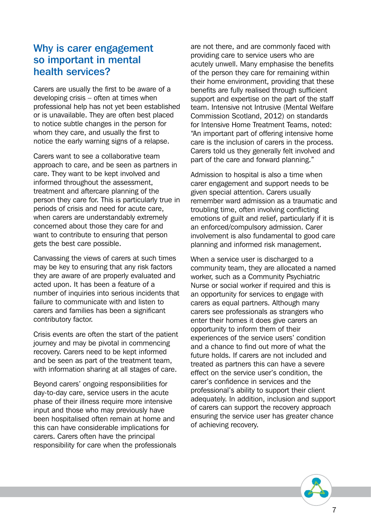#### Why is carer engagement so important in mental health services?

Carers are usually the first to be aware of a developing crisis – often at times when professional help has not yet been established or is unavailable. They are often best placed to notice subtle changes in the person for whom they care, and usually the first to notice the early warning signs of a relapse.

Carers want to see a collaborative team approach to care, and be seen as partners in care. They want to be kept involved and informed throughout the assessment, treatment and aftercare planning of the person they care for. This is particularly true in periods of crisis and need for acute care, when carers are understandably extremely concerned about those they care for and want to contribute to ensuring that person gets the best care possible.

Canvassing the views of carers at such times may be key to ensuring that any risk factors they are aware of are properly evaluated and acted upon. It has been a feature of a number of inquiries into serious incidents that failure to communicate with and listen to carers and families has been a significant contributory factor.

Crisis events are often the start of the patient journey and may be pivotal in commencing recovery. Carers need to be kept informed and be seen as part of the treatment team, with information sharing at all stages of care.

Beyond carers' ongoing responsibilities for day-to-day care, service users in the acute phase of their illness require more intensive input and those who may previously have been hospitalised often remain at home and this can have considerable implications for carers. Carers often have the principal responsibility for care when the professionals are not there, and are commonly faced with providing care to service users who are acutely unwell. Many emphasise the benefits of the person they care for remaining within their home environment, providing that these benefits are fully realised through sufficient support and expertise on the part of the staff team. Intensive not Intrusive (Mental Welfare Commission Scotland, 2012) on standards for Intensive Home Treatment Teams, noted: "An important part of offering intensive home care is the inclusion of carers in the process. Carers told us they generally felt involved and part of the care and forward planning."

Admission to hospital is also a time when carer engagement and support needs to be given special attention. Carers usually remember ward admission as a traumatic and troubling time, often involving conflicting emotions of guilt and relief, particularly if it is an enforced/compulsory admission. Carer involvement is also fundamental to good care planning and informed risk management.

When a service user is discharged to a community team, they are allocated a named worker, such as a Community Psychiatric Nurse or social worker if required and this is an opportunity for services to engage with carers as equal partners. Although many carers see professionals as strangers who enter their homes it does give carers an opportunity to inform them of their experiences of the service users' condition and a chance to find out more of what the future holds. If carers are not included and treated as partners this can have a severe effect on the service user's condition, the carer's confidence in services and the professional's ability to support their client adequately. In addition, inclusion and support of carers can support the recovery approach ensuring the service user has greater chance of achieving recovery.

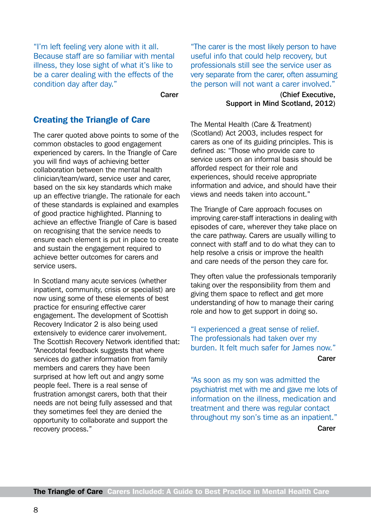"I'm left feeling very alone with it all. Because staff are so familiar with mental illness, they lose sight of what it's like to be a carer dealing with the effects of the condition day after day."

Carer

#### Creating the Triangle of Care

The carer quoted above points to some of the common obstacles to good engagement experienced by carers. In the Triangle of Care you will find ways of achieving better collaboration between the mental health clinician/team/ward, service user and carer, based on the six key standards which make up an effective triangle. The rationale for each of these standards is explained and examples of good practice highlighted. Planning to achieve an effective Triangle of Care is based on recognising that the service needs to ensure each element is put in place to create and sustain the engagement required to achieve better outcomes for carers and service users.

In Scotland many acute services (whether inpatient, community, crisis or specialist) are now using some of these elements of best practice for ensuring effective carer engagement. The development of Scottish Recovery Indicator 2 is also being used extensively to evidence carer involvement. The Scottish Recovery Network identified that: "Anecdotal feedback suggests that where services do gather information from family members and carers they have been surprised at how left out and angry some people feel. There is a real sense of frustration amongst carers, both that their needs are not being fully assessed and that they sometimes feel they are denied the opportunity to collaborate and support the recovery process."

"The carer is the most likely person to have useful info that could help recovery, but professionals still see the service user as very separate from the carer, often assuming the person will not want a carer involved."

> (Chief Executive, Support in Mind Scotland, 2012)

The Mental Health (Care & Treatment) (Scotland) Act 2003, includes respect for carers as one of its guiding principles. This is defined as: "Those who provide care to service users on an informal basis should be afforded respect for their role and experiences, should receive appropriate information and advice, and should have their views and needs taken into account."

The Triangle of Care approach focuses on improving carer-staff interactions in dealing with episodes of care, wherever they take place on the care pathway. Carers are usually willing to connect with staff and to do what they can to help resolve a crisis or improve the health and care needs of the person they care for.

They often value the professionals temporarily taking over the responsibility from them and giving them space to reflect and get more understanding of how to manage their caring role and how to get support in doing so.

"I experienced a great sense of relief. The professionals had taken over my burden. It felt much safer for James now." **Carer** 

"As soon as my son was admitted the psychiatrist met with me and gave me lots of information on the illness, medication and treatment and there was regular contact throughout my son's time as an inpatient." Carer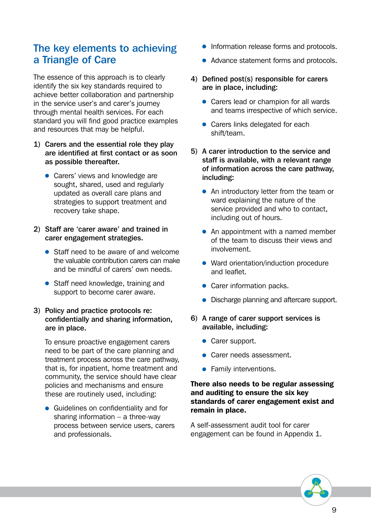#### The key elements to achieving a Triangle of Care

The essence of this approach is to clearly identify the six key standards required to achieve better collaboration and partnership in the service user's and carer's journey through mental health services. For each standard you will find good practice examples and resources that may be helpful.

- 1) Carers and the essential role they play are identified at first contact or as soon as possible thereafter.
	- Carers' views and knowledge are sought, shared, used and regularly updated as overall care plans and strategies to support treatment and recovery take shape.
- 2) Staff are 'carer aware' and trained in carer engagement strategies.
	- Staff need to be aware of and welcome the valuable contribution carers can make and be mindful of carers' own needs.
	- Staff need knowledge, training and support to become carer aware.

#### 3) Policy and practice protocols re: confidentially and sharing information, are in place.

To ensure proactive engagement carers need to be part of the care planning and treatment process across the care pathway, that is, for inpatient, home treatment and community, the service should have clear policies and mechanisms and ensure these are routinely used, including:

• Guidelines on confidentiality and for sharing information – a three-way process between service users, carers and professionals.

- Information release forms and protocols.
- Advance statement forms and protocols.
- 4) Defined post(s) responsible for carers are in place, including:
	- Carers lead or champion for all wards and teams irrespective of which service.
	- Carers links delegated for each shift/team.
- 5) A carer introduction to the service and staff is available, with a relevant range of information across the care pathway, including:
	- An introductory letter from the team or ward explaining the nature of the service provided and who to contact, including out of hours.
	- An appointment with a named member of the team to discuss their views and involvement.
	- Ward orientation/induction procedure and leaflet.
	- Carer information packs.
	- Discharge planning and aftercare support.
- 6) A range of carer support services is available, including:
	- Carer support.
	- Carer needs assessment.
	- Family interventions.

#### There also needs to be regular assessing and auditing to ensure the six key standards of carer engagement exist and remain in place.

A self-assessment audit tool for carer engagement can be found in Appendix 1.

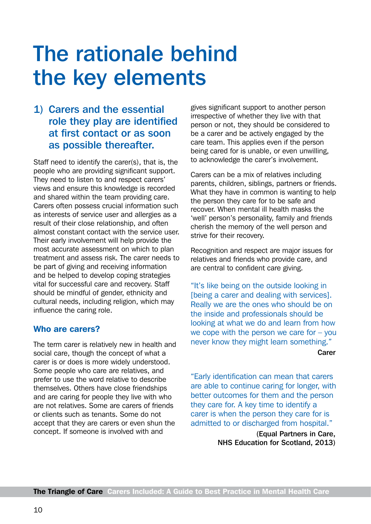# <span id="page-11-0"></span>The rationale behind the key elements

#### 1) Carers and the essential role they play are identified at first contact or as soon as possible thereafter.

Staff need to identify the carer(s), that is, the people who are providing significant support. They need to listen to and respect carers' views and ensure this knowledge is recorded and shared within the team providing care. Carers often possess crucial information such as interests of service user and allergies as a result of their close relationship, and often almost constant contact with the service user. Their early involvement will help provide the most accurate assessment on which to plan treatment and assess risk. The carer needs to be part of giving and receiving information and be helped to develop coping strategies vital for successful care and recovery. Staff should be mindful of gender, ethnicity and cultural needs, including religion, which may influence the caring role.

#### Who are carers?

The term carer is relatively new in health and social care, though the concept of what a carer is or does is more widely understood. Some people who care are relatives, and prefer to use the word relative to describe themselves. Others have close friendships and are caring for people they live with who are not relatives. Some are carers of friends or clients such as tenants. Some do not accept that they are carers or even shun the concept. If someone is involved with and

gives significant support to another person irrespective of whether they live with that person or not, they should be considered to be a carer and be actively engaged by the care team. This applies even if the person being cared for is unable, or even unwilling, to acknowledge the carer's involvement.

Carers can be a mix of relatives including parents, children, siblings, partners or friends. What they have in common is wanting to help the person they care for to be safe and recover. When mental ill health masks the 'well' person's personality, family and friends cherish the memory of the well person and strive for their recovery.

Recognition and respect are major issues for relatives and friends who provide care, and are central to confident care giving.

"It's like being on the outside looking in [being a carer and dealing with services]. Really we are the ones who should be on the inside and professionals should be looking at what we do and learn from how we cope with the person we care for – you never know they might learn something."

Carer

"Early identification can mean that carers are able to continue caring for longer, with better outcomes for them and the person they care for. A key time to identify a carer is when the person they care for is admitted to or discharged from hospital."

> (Equal Partners in Care, NHS Education for Scotland, 2013)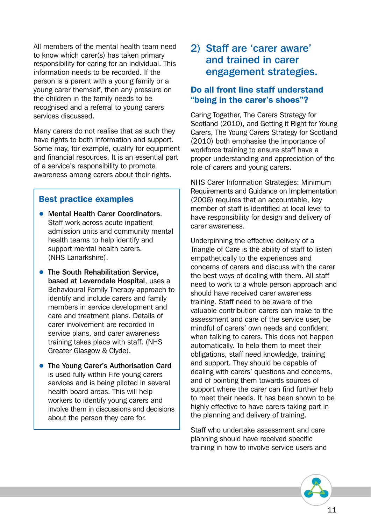All members of the mental health team need to know which carer(s) has taken primary responsibility for caring for an individual. This information needs to be recorded. If the person is a parent with a young family or a young carer themself, then any pressure on the children in the family needs to be recognised and a referral to young carers services discussed.

Many carers do not realise that as such they have rights to both information and support. Some may, for example, qualify for equipment and financial resources. It is an essential part of a service's responsibility to promote awareness among carers about their rights.

#### Best practice examples

- Mental Health Carer Coordinators. Staff work across acute inpatient admission units and community mental health teams to help identify and support mental health carers. (NHS Lanarkshire).
- The South Rehabilitation Service, based at Leverndale Hospital, uses a Behavioural Family Therapy approach to identify and include carers and family members in service development and care and treatment plans. Details of carer involvement are recorded in service plans, and carer awareness training takes place with staff. (NHS Greater Glasgow & Clyde).
- The Young Carer's Authorisation Card is used fully within Fife young carers services and is being piloted in several health board areas. This will help workers to identify young carers and involve them in discussions and decisions about the person they care for.

#### 2) Staff are 'carer aware' and trained in carer engagement strategies.

#### Do all front line staff understand "being in the carer's shoes"?

Caring Together, The Carers Strategy for Scotland (2010), and Getting it Right for Young Carers, The Young Carers Strategy for Scotland (2010) both emphasise the importance of workforce training to ensure staff have a proper understanding and appreciation of the role of carers and young carers.

NHS Carer Information Strategies: Minimum Requirements and Guidance on Implementation (2006) requires that an accountable, key member of staff is identified at local level to have responsibility for design and delivery of carer awareness.

Underpinning the effective delivery of a Triangle of Care is the ability of staff to listen empathetically to the experiences and concerns of carers and discuss with the carer the best ways of dealing with them. All staff need to work to a whole person approach and should have received carer awareness training. Staff need to be aware of the valuable contribution carers can make to the assessment and care of the service user, be mindful of carers' own needs and confident when talking to carers. This does not happen automatically. To help them to meet their obligations, staff need knowledge, training and support. They should be capable of dealing with carers' questions and concerns, and of pointing them towards sources of support where the carer can find further help to meet their needs. It has been shown to be highly effective to have carers taking part in the planning and delivery of training.

Staff who undertake assessment and care planning should have received specific training in how to involve service users and

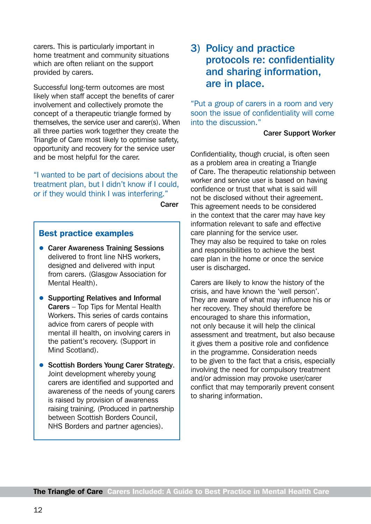carers. This is particularly important in home treatment and community situations which are often reliant on the support provided by carers.

Successful long-term outcomes are most likely when staff accept the benefits of carer involvement and collectively promote the concept of a therapeutic triangle formed by themselves, the service user and carer(s). When all three parties work together they create the Triangle of Care most likely to optimise safety, opportunity and recovery for the service user and be most helpful for the carer.

"I wanted to be part of decisions about the treatment plan, but I didn't know if I could, or if they would think I was interfering."

Carer

#### Best practice examples

- Carer Awareness Training Sessions delivered to front line NHS workers, designed and delivered with input from carers. (Glasgow Association for Mental Health).
- Supporting Relatives and Informal Carers – Top Tips for Mental Health Workers. This series of cards contains advice from carers of people with mental ill health, on involving carers in the patient's recovery. (Support in Mind Scotland).
- Scottish Borders Young Carer Strategy. Joint development whereby young carers are identified and supported and awareness of the needs of young carers is raised by provision of awareness raising training. (Produced in partnership between Scottish Borders Council, NHS Borders and partner agencies).

#### 3) Policy and practice protocols re: confidentiality and sharing information, are in place.

"Put a group of carers in a room and very soon the issue of confidentiality will come into the discussion."

#### Carer Support Worker

Confidentiality, though crucial, is often seen as a problem area in creating a Triangle of Care. The therapeutic relationship between worker and service user is based on having confidence or trust that what is said will not be disclosed without their agreement. This agreement needs to be considered in the context that the carer may have key information relevant to safe and effective care planning for the service user. They may also be required to take on roles and responsibilities to achieve the best care plan in the home or once the service user is discharged.

Carers are likely to know the history of the crisis, and have known the 'well person'. They are aware of what may influence his or her recovery. They should therefore be encouraged to share this information, not only because it will help the clinical assessment and treatment, but also because it gives them a positive role and confidence in the programme. Consideration needs to be given to the fact that a crisis, especially involving the need for compulsory treatment and/or admission may provoke user/carer conflict that may temporarily prevent consent to sharing information.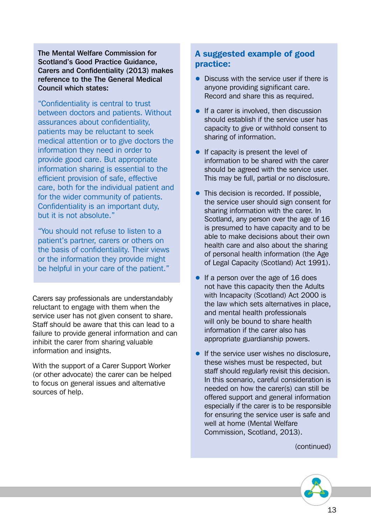The Mental Welfare Commission for Scotland's Good Practice Guidance, Carers and Confidentiality (2013) makes reference to the The General Medical Council which states:

"Confidentiality is central to trust between doctors and patients. Without assurances about confidentiality, patients may be reluctant to seek medical attention or to give doctors the information they need in order to provide good care. But appropriate information sharing is essential to the efficient provision of safe, effective care, both for the individual patient and for the wider community of patients. Confidentiality is an important duty, but it is not absolute."

"You should not refuse to listen to a patient's partner, carers or others on the basis of confidentiality. Their views or the information they provide might be helpful in your care of the patient."

Carers say professionals are understandably reluctant to engage with them when the service user has not given consent to share. Staff should be aware that this can lead to a failure to provide general information and can inhibit the carer from sharing valuable information and insights.

With the support of a Carer Support Worker (or other advocate) the carer can be helped to focus on general issues and alternative sources of help.

#### A suggested example of good practice:

- Discuss with the service user if there is anyone providing significant care. Record and share this as required.
- $\bullet$  If a carer is involved, then discussion should establish if the service user has capacity to give or withhold consent to sharing of information.
- $\bullet$  If capacity is present the level of information to be shared with the carer should be agreed with the service user. This may be full, partial or no disclosure.
- This decision is recorded. If possible, the service user should sign consent for sharing information with the carer. In Scotland, any person over the age of 16 is presumed to have capacity and to be able to make decisions about their own health care and also about the sharing of personal health information (the Age of Legal Capacity (Scotland) Act 1991).
- If a person over the age of 16 does not have this capacity then the Adults with Incapacity (Scotland) Act 2000 is the law which sets alternatives in place, and mental health professionals will only be bound to share health information if the carer also has appropriate guardianship powers.
- If the service user wishes no disclosure, these wishes must be respected, but staff should regularly revisit this decision. In this scenario, careful consideration is needed on how the carer(s) can still be offered support and general information especially if the carer is to be responsible for ensuring the service user is safe and well at home (Mental Welfare Commission, Scotland, 2013).

(continued)

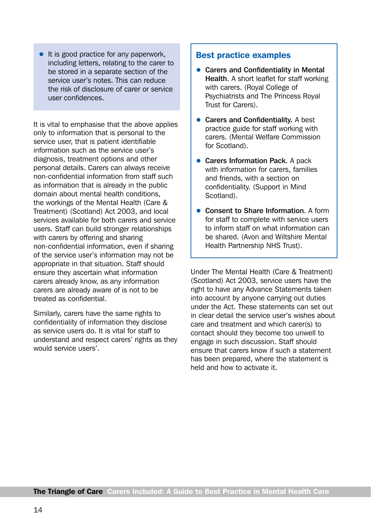It is good practice for any paperwork, including letters, relating to the carer to be stored in a separate section of the service user's notes. This can reduce the risk of disclosure of carer or service user confidences.

It is vital to emphasise that the above applies only to information that is personal to the service user, that is patient identifiable information such as the service user's diagnosis, treatment options and other personal details. Carers can always receive non-confidential information from staff such as information that is already in the public domain about mental health conditions, the workings of the Mental Health (Care & Treatment) (Scotland) Act 2003, and local services available for both carers and service users. Staff can build stronger relationships with carers by offering and sharing non-confidential information, even if sharing of the service user's information may not be appropriate in that situation. Staff should ensure they ascertain what information carers already know, as any information carers are already aware of is not to be treated as confidential.

Similarly, carers have the same rights to confidentiality of information they disclose as service users do. It is vital for staff to understand and respect carers' rights as they would service users'.

#### Best practice examples

- Carers and Confidentiality in Mental Health. A short leaflet for staff working with carers. (Royal College of Psychiatrists and The Princess Royal Trust for Carers).
- Carers and Confidentiality. A best practice guide for staff working with carers. (Mental Welfare Commission for Scotland).
- Carers Information Pack. A pack with information for carers, families and friends, with a section on confidentiality. (Support in Mind Scotland).
- Consent to Share Information. A form for staff to complete with service users to inform staff on what information can be shared. (Avon and Wiltshire Mental Health Partnership NHS Trust).

Under The Mental Health (Care & Treatment) (Scotland) Act 2003, service users have the right to have any Advance Statements taken into account by anyone carrying out duties under the Act. These statements can set out in clear detail the service user's wishes about care and treatment and which carer(s) to contact should they become too unwell to engage in such discussion. Staff should ensure that carers know if such a statement has been prepared, where the statement is held and how to activate it.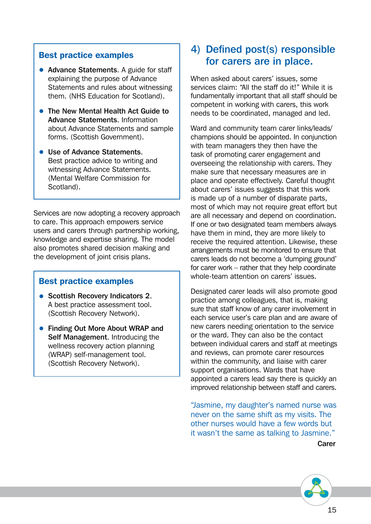#### Best practice examples

- Advance Statements. A guide for staff explaining the purpose of Advance Statements and rules about witnessing them. (NHS Education for Scotland).
- The New Mental Health Act Guide to Advance Statements. Information about Advance Statements and sample forms. (Scottish Government).
- Use of Advance Statements. Best practice advice to writing and witnessing Advance Statements. (Mental Welfare Commission for Scotland).

Services are now adopting a recovery approach to care. This approach empowers service users and carers through partnership working, knowledge and expertise sharing. The model also promotes shared decision making and the development of joint crisis plans.

#### Best practice examples

- Scottish Recovery Indicators 2. A best practice assessment tool. (Scottish Recovery Network).
- Finding Out More About WRAP and Self Management. Introducing the wellness recovery action planning (WRAP) self-management tool. (Scottish Recovery Network).

#### 4) Defined post(s) responsible for carers are in place.

When asked about carers' issues, some services claim: "All the staff do it!" While it is fundamentally important that all staff should be competent in working with carers, this work needs to be coordinated, managed and led.

Ward and community team carer links/leads/ champions should be appointed. In conjunction with team managers they then have the task of promoting carer engagement and overseeing the relationship with carers. They make sure that necessary measures are in place and operate effectively. Careful thought about carers' issues suggests that this work is made up of a number of disparate parts, most of which may not require great effort but are all necessary and depend on coordination. If one or two designated team members always have them in mind, they are more likely to receive the required attention. Likewise, these arrangements must be monitored to ensure that carers leads do not become a 'dumping ground' for carer work – rather that they help coordinate whole-team attention on carers' issues.

Designated carer leads will also promote good practice among colleagues, that is, making sure that staff know of any carer involvement in each service user's care plan and are aware of new carers needing orientation to the service or the ward. They can also be the contact between individual carers and staff at meetings and reviews, can promote carer resources within the community, and liaise with carer support organisations. Wards that have appointed a carers lead say there is quickly an improved relationship between staff and carers.

"Jasmine, my daughter's named nurse was never on the same shift as my visits. The other nurses would have a few words but it wasn't the same as talking to Jasmine."

**Carer** 

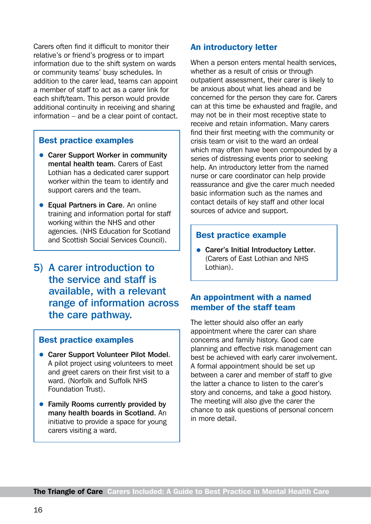Carers often find it difficult to monitor their relative's or friend's progress or to impart information due to the shift system on wards or community teams' busy schedules. In addition to the carer lead, teams can appoint a member of staff to act as a carer link for each shift/team. This person would provide additional continuity in receiving and sharing information – and be a clear point of contact.

#### Best practice examples

- Carer Support Worker in community mental health team. Carers of East Lothian has a dedicated carer support worker within the team to identify and support carers and the team.
- Equal Partners in Care. An online training and information portal for staff working within the NHS and other agencies. (NHS Education for Scotland and Scottish Social Services Council).
- 5) A carer introduction to the service and staff is available, with a relevant range of information across the care pathway.

#### Best practice examples

- Carer Support Volunteer Pilot Model. A pilot project using volunteers to meet and greet carers on their first visit to a ward. (Norfolk and Suffolk NHS Foundation Trust).
- Family Rooms currently provided by many health boards in Scotland. An initiative to provide a space for young carers visiting a ward.

#### An introductory letter

When a person enters mental health services, whether as a result of crisis or through outpatient assessment, their carer is likely to be anxious about what lies ahead and be concerned for the person they care for. Carers can at this time be exhausted and fragile, and may not be in their most receptive state to receive and retain information. Many carers find their first meeting with the community or crisis team or visit to the ward an ordeal which may often have been compounded by a series of distressing events prior to seeking help. An introductory letter from the named nurse or care coordinator can help provide reassurance and give the carer much needed basic information such as the names and contact details of key staff and other local sources of advice and support.

#### Best practice example

• Carer's Initial Introductory Letter. (Carers of East Lothian and NHS Lothian).

#### An appointment with a named member of the staff team

The letter should also offer an early appointment where the carer can share concerns and family history. Good care planning and effective risk management can best be achieved with early carer involvement. A formal appointment should be set up between a carer and member of staff to give the latter a chance to listen to the carer's story and concerns, and take a good history. The meeting will also give the carer the chance to ask questions of personal concern in more detail.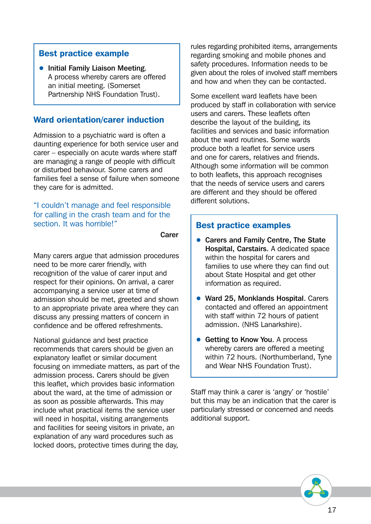#### Best practice example

**• Initial Family Liaison Meeting.** A process whereby carers are offered an initial meeting. (Somerset Partnership NHS Foundation Trust).

#### Ward orientation/carer induction

Admission to a psychiatric ward is often a daunting experience for both service user and carer – especially on acute wards where staff are managing a range of people with difficult or disturbed behaviour. Some carers and families feel a sense of failure when someone they care for is admitted.

"I couldn't manage and feel responsible for calling in the crash team and for the section. It was horrible!"

Carer

Many carers argue that admission procedures need to be more carer friendly, with recognition of the value of carer input and respect for their opinions. On arrival, a carer accompanying a service user at time of admission should be met, greeted and shown to an appropriate private area where they can discuss any pressing matters of concern in confidence and be offered refreshments.

National guidance and best practice recommends that carers should be given an explanatory leaflet or similar document focusing on immediate matters, as part of the admission process. Carers should be given this leaflet, which provides basic information about the ward, at the time of admission or as soon as possible afterwards. This may include what practical items the service user will need in hospital, visiting arrangements and facilities for seeing visitors in private, an explanation of any ward procedures such as locked doors, protective times during the day,

rules regarding prohibited items, arrangements regarding smoking and mobile phones and safety procedures. Information needs to be given about the roles of involved staff members and how and when they can be contacted.

Some excellent ward leaflets have been produced by staff in collaboration with service users and carers. These leaflets often describe the layout of the building, its facilities and services and basic information about the ward routines. Some wards produce both a leaflet for service users and one for carers, relatives and friends. Although some information will be common to both leaflets, this approach recognises that the needs of service users and carers are different and they should be offered different solutions.

#### Best practice examples

- Carers and Family Centre, The State Hospital, Carstairs. A dedicated space within the hospital for carers and families to use where they can find out about State Hospital and get other information as required.
- Ward 25, Monklands Hospital. Carers contacted and offered an appointment with staff within 72 hours of patient admission. (NHS Lanarkshire).
- Getting to Know You. A process whereby carers are offered a meeting within 72 hours. (Northumberland, Tyne and Wear NHS Foundation Trust).

Staff may think a carer is 'angry' or 'hostile' but this may be an indication that the carer is particularly stressed or concerned and needs additional support.

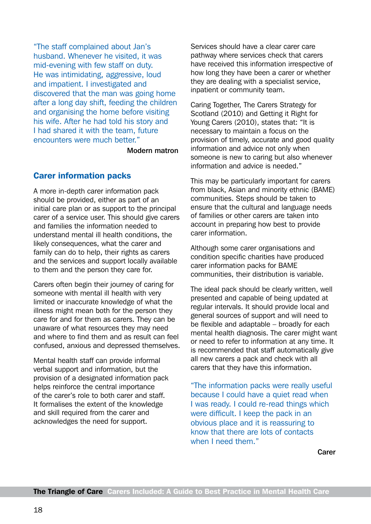"The staff complained about Jan's husband. Whenever he visited, it was mid-evening with few staff on duty. He was intimidating, aggressive, loud and impatient. I investigated and discovered that the man was going home after a long day shift, feeding the children and organising the home before visiting his wife. After he had told his story and I had shared it with the team, future encounters were much better."

Modern matron

#### Carer information packs

A more in-depth carer information pack should be provided, either as part of an initial care plan or as support to the principal carer of a service user. This should give carers and families the information needed to understand mental ill health conditions, the likely consequences, what the carer and family can do to help, their rights as carers and the services and support locally available to them and the person they care for.

Carers often begin their journey of caring for someone with mental ill health with very limited or inaccurate knowledge of what the illness might mean both for the person they care for and for them as carers. They can be unaware of what resources they may need and where to find them and as result can feel confused, anxious and depressed themselves.

Mental health staff can provide informal verbal support and information, but the provision of a designated information pack helps reinforce the central importance of the carer's role to both carer and staff. It formalises the extent of the knowledge and skill required from the carer and acknowledges the need for support.

Services should have a clear carer care pathway where services check that carers have received this information irrespective of how long they have been a carer or whether they are dealing with a specialist service, inpatient or community team.

Caring Together, The Carers Strategy for Scotland (2010) and Getting it Right for Young Carers (2010), states that: "It is necessary to maintain a focus on the provision of timely, accurate and good quality information and advice not only when someone is new to caring but also whenever information and advice is needed."

This may be particularly important for carers from black, Asian and minority ethnic (BAME) communities. Steps should be taken to ensure that the cultural and language needs of families or other carers are taken into account in preparing how best to provide carer information.

Although some carer organisations and condition specific charities have produced carer information packs for BAME communities, their distribution is variable.

The ideal pack should be clearly written, well presented and capable of being updated at regular intervals. It should provide local and general sources of support and will need to be flexible and adaptable – broadly for each mental health diagnosis. The carer might want or need to refer to information at any time. It is recommended that staff automatically give all new carers a pack and check with all carers that they have this information.

"The information packs were really useful because I could have a quiet read when I was ready. I could re-read things which were difficult. I keep the pack in an obvious place and it is reassuring to know that there are lots of contacts when I need them."

Carer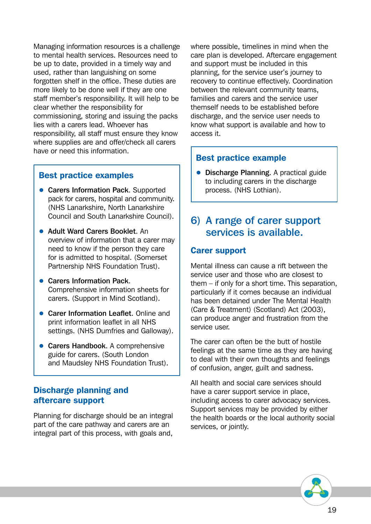Managing information resources is a challenge to mental health services. Resources need to be up to date, provided in a timely way and used, rather than languishing on some forgotten shelf in the office. These duties are more likely to be done well if they are one staff member's responsibility. It will help to be clear whether the responsibility for commissioning, storing and issuing the packs lies with a carers lead. Whoever has responsibility, all staff must ensure they know where supplies are and offer/check all carers have or need this information.

#### Best practice examples

- Carers Information Pack. Supported pack for carers, hospital and community. (NHS Lanarkshire, North Lanarkshire Council and South Lanarkshire Council).
- Adult Ward Carers Booklet. An overview of information that a carer may need to know if the person they care for is admitted to hospital. (Somerset Partnership NHS Foundation Trust).
- Carers Information Pack. Comprehensive information sheets for carers. (Support in Mind Scotland).
- Carer Information Leaflet. Online and print information leaflet in all NHS settings. (NHS Dumfries and Galloway).
- Carers Handbook. A comprehensive guide for carers. (South London and Maudsley NHS Foundation Trust).

#### Discharge planning and aftercare support

Planning for discharge should be an integral part of the care pathway and carers are an integral part of this process, with goals and,

where possible, timelines in mind when the care plan is developed. Aftercare engagement and support must be included in this planning, for the service user's journey to recovery to continue effectively. Coordination between the relevant community teams, families and carers and the service user themself needs to be established before discharge, and the service user needs to know what support is available and how to access it.

#### Best practice example

**• Discharge Planning.** A practical guide to including carers in the discharge process. (NHS Lothian).

#### 6) A range of carer support services is available.

#### Carer support

Mental illness can cause a rift between the service user and those who are closest to them – if only for a short time. This separation, particularly if it comes because an individual has been detained under The Mental Health (Care & Treatment) (Scotland) Act (2003), can produce anger and frustration from the service user.

The carer can often be the butt of hostile feelings at the same time as they are having to deal with their own thoughts and feelings of confusion, anger, guilt and sadness.

All health and social care services should have a carer support service in place, including access to carer advocacy services. Support services may be provided by either the health boards or the local authority social services, or jointly.

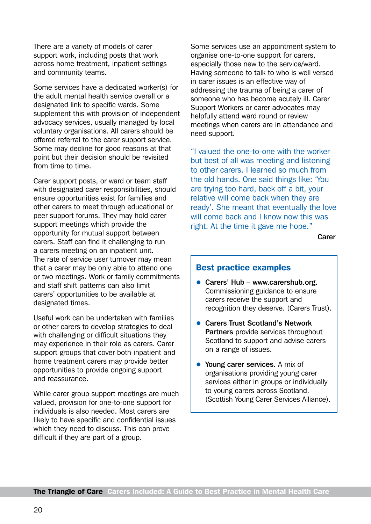There are a variety of models of carer support work, including posts that work across home treatment, inpatient settings and community teams.

Some services have a dedicated worker(s) for the adult mental health service overall or a designated link to specific wards. Some supplement this with provision of independent advocacy services, usually managed by local voluntary organisations. All carers should be offered referral to the carer support service. Some may decline for good reasons at that point but their decision should be revisited from time to time.

Carer support posts, or ward or team staff with designated carer responsibilities, should ensure opportunities exist for families and other carers to meet through educational or peer support forums. They may hold carer support meetings which provide the opportunity for mutual support between carers. Staff can find it challenging to run a carers meeting on an inpatient unit. The rate of service user turnover may mean that a carer may be only able to attend one or two meetings. Work or family commitments and staff shift patterns can also limit carers' opportunities to be available at designated times.

Useful work can be undertaken with families or other carers to develop strategies to deal with challenging or difficult situations they may experience in their role as carers. Carer support groups that cover both inpatient and home treatment carers may provide better opportunities to provide ongoing support and reassurance.

While carer group support meetings are much valued, provision for one-to-one support for individuals is also needed. Most carers are likely to have specific and confidential issues which they need to discuss. This can prove difficult if they are part of a group.

Some services use an appointment system to organise one-to-one support for carers, especially those new to the service/ward. Having someone to talk to who is well versed in carer issues is an effective way of addressing the trauma of being a carer of someone who has become acutely ill. Carer Support Workers or carer advocates may helpfully attend ward round or review meetings when carers are in attendance and need support.

"I valued the one-to-one with the worker but best of all was meeting and listening to other carers. I learned so much from the old hands. One said things like: 'You are trying too hard, back off a bit, your relative will come back when they are ready'. She meant that eventually the love will come back and I know now this was right. At the time it gave me hope."

Carer

#### Best practice examples

- Carers' Hub [www.carershub.org](http://www.carershub.org). Commissioning guidance to ensure carers receive the support and recognition they deserve. (Carers Trust).
- Carers Trust Scotland's Network Partners provide services throughout Scotland to support and advise carers on a range of issues.
- Young carer services. A mix of organisations providing young carer services either in groups or individually to young carers across Scotland. (Scottish Young Carer Services Alliance).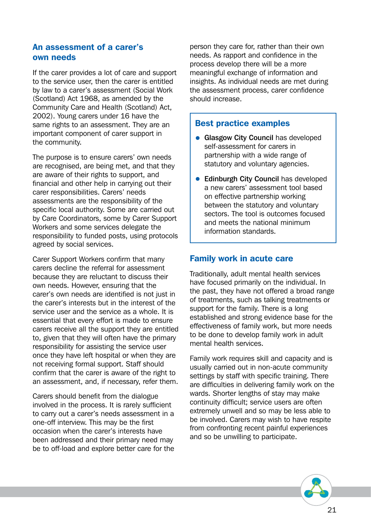#### An assessment of a carer's own needs

If the carer provides a lot of care and support to the service user, then the carer is entitled by law to a carer's assessment (Social Work (Scotland) Act 1968, as amended by the Community Care and Health (Scotland) Act, 2002). Young carers under 16 have the same rights to an assessment. They are an important component of carer support in the community.

The purpose is to ensure carers' own needs are recognised, are being met, and that they are aware of their rights to support, and financial and other help in carrying out their carer responsibilities. Carers' needs assessments are the responsibility of the specific local authority. Some are carried out by Care Coordinators, some by Carer Support Workers and some services delegate the responsibility to funded posts, using protocols agreed by social services.

Carer Support Workers confirm that many carers decline the referral for assessment because they are reluctant to discuss their own needs. However, ensuring that the carer's own needs are identified is not just in the carer's interests but in the interest of the service user and the service as a whole. It is essential that every effort is made to ensure carers receive all the support they are entitled to, given that they will often have the primary responsibility for assisting the service user once they have left hospital or when they are not receiving formal support. Staff should confirm that the carer is aware of the right to an assessment, and, if necessary, refer them.

Carers should benefit from the dialogue involved in the process. It is rarely sufficient to carry out a carer's needs assessment in a one-off interview. This may be the first occasion when the carer's interests have been addressed and their primary need may be to off-load and explore better care for the

person they care for, rather than their own needs. As rapport and confidence in the process develop there will be a more meaningful exchange of information and insights. As individual needs are met during the assessment process, carer confidence should increase.

#### Best practice examples

- Glasgow City Council has developed self-assessment for carers in partnership with a wide range of statutory and voluntary agencies.
- Edinburgh City Council has developed a new carers' assessment tool based on effective partnership working between the statutory and voluntary sectors. The tool is outcomes focused and meets the national minimum information standards.

#### Family work in acute care

Traditionally, adult mental health services have focused primarily on the individual. In the past, they have not offered a broad range of treatments, such as talking treatments or support for the family. There is a long established and strong evidence base for the effectiveness of family work, but more needs to be done to develop family work in adult mental health services.

Family work requires skill and capacity and is usually carried out in non-acute community settings by staff with specific training. There are difficulties in delivering family work on the wards. Shorter lengths of stay may make continuity difficult; service users are often extremely unwell and so may be less able to be involved. Carers may wish to have respite from confronting recent painful experiences and so be unwilling to participate.

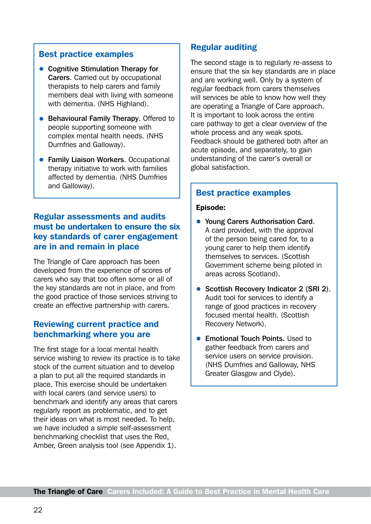#### Best practice examples

- Cognitive Stimulation Therapy for Carers. Carried out by occupational therapists to help carers and family members deal with living with someone with dementia. (NHS Highland).
- Behavioural Family Therapy. Offered to people supporting someone with complex mental health needs. (NHS Dumfries and Galloway).
- Family Liaison Workers. Occupational therapy initiative to work with families affected by dementia. (NHS Dumfries and Galloway).

#### Regular assessments and audits must be undertaken to ensure the six key standards of carer engagement are in and remain in place

The Triangle of Care approach has been developed from the experience of scores of carers who say that too often some or all of the key standards are not in place, and from the good practice of those services striving to create an effective partnership with carers.

#### Reviewing current practice and benchmarking where you are

The first stage for a local mental health service wishing to review its practice is to take stock of the current situation and to develop a plan to put all the required standards in place. This exercise should be undertaken with local carers (and service users) to benchmark and identify any areas that carers regularly report as problematic, and to get their ideas on what is most needed. To help, we have included a simple self-assessment benchmarking checklist that uses the Red, Amber, Green analysis tool (see Appendix 1).

#### Regular auditing

The second stage is to regularly re-assess to ensure that the six key standards are in place and are working well. Only by a system of regular feedback from carers themselves will services be able to know how well they are operating a Triangle of Care approach. It is important to look across the entire care pathway to get a clear overview of the whole process and any weak spots. Feedback should be gathered both after an acute episode, and separately, to gain understanding of the carer's overall or global satisfaction.

#### Best practice examples

#### Episode:

- Young Carers Authorisation Card. A card provided, with the approval of the person being cared for, to a young carer to help them identify themselves to services. (Scottish Government scheme being piloted in areas across Scotland).
- Scottish Recovery Indicator 2 (SRI 2). Audit tool for services to identify a range of good practices in recovery focused mental health. (Scottish Recovery Network).
- Emotional Touch Points. Used to gather feedback from carers and service users on service provision. (NHS Dumfries and Galloway, NHS Greater Glasgow and Clyde).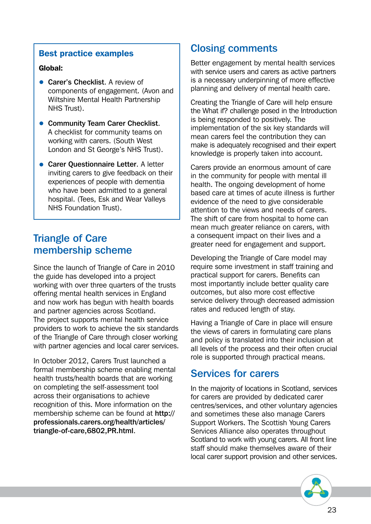#### Best practice examples

#### Global:

- Carer's Checklist. A review of components of engagement. (Avon and Wiltshire Mental Health Partnership NHS Trust).
- Community Team Carer Checklist. A checklist for community teams on working with carers. (South West London and St George's NHS Trust).
- Carer Questionnaire Letter. A letter inviting carers to give feedback on their experiences of people with dementia who have been admitted to a general hospital. (Tees, Esk and Wear Valleys NHS Foundation Trust).

#### Triangle of Care membership scheme

Since the launch of Triangle of Care in 2010 the guide has developed into a project working with over three quarters of the trusts offering mental health services in England and now work has begun with health boards and partner agencies across Scotland. The project supports mental health service providers to work to achieve the six standards of the Triangle of Care through closer working with partner agencies and local carer services.

In October 2012, Carers Trust launched a formal membership scheme enabling mental health trusts/health boards that are working on completing the self-assessment tool across their organisations to achieve recognition of this. More information on the membership scheme can be found at [http://](http://professionals.carers.org/health/articles/triangle-of-care%2C6802%2CPR.html) [professionals.carers.org/health/articles/](http://professionals.carers.org/health/articles/triangle-of-care%2C6802%2CPR.html) [triangle-of-care,6802,PR.html](http://professionals.carers.org/health/articles/triangle-of-care%2C6802%2CPR.html).

#### Closing comments

Better engagement by mental health services with service users and carers as active partners is a necessary underpinning of more effective planning and delivery of mental health care.

Creating the Triangle of Care will help ensure the What if? challenge posed in the Introduction is being responded to positively. The implementation of the six key standards will mean carers feel the contribution they can make is adequately recognised and their expert knowledge is properly taken into account.

Carers provide an enormous amount of care in the community for people with mental ill health. The ongoing development of home based care at times of acute illness is further evidence of the need to give considerable attention to the views and needs of carers. The shift of care from hospital to home can mean much greater reliance on carers, with a consequent impact on their lives and a greater need for engagement and support.

Developing the Triangle of Care model may require some investment in staff training and practical support for carers. Benefits can most importantly include better quality care outcomes, but also more cost effective service delivery through decreased admission rates and reduced length of stay.

Having a Triangle of Care in place will ensure the views of carers in formulating care plans and policy is translated into their inclusion at all levels of the process and their often crucial role is supported through practical means.

#### Services for carers

In the majority of locations in Scotland, services for carers are provided by dedicated carer centres/services, and other voluntary agencies and sometimes these also manage Carers Support Workers. The Scottish Young Carers Services Alliance also operates throughout Scotland to work with young carers. All front line staff should make themselves aware of their local carer support provision and other services.

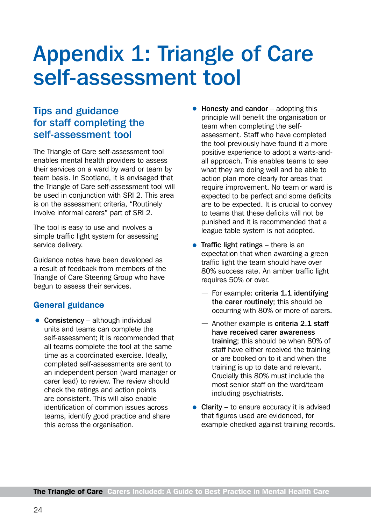# <span id="page-25-0"></span>Appendix 1: Triangle of Care self-assessment tool

#### Tips and guidance for staff completing the self-assessment tool

The Triangle of Care self-assessment tool enables mental health providers to assess their services on a ward by ward or team by team basis. In Scotland, it is envisaged that the Triangle of Care self-assessment tool will be used in conjunction with SRI 2. This area is on the assessment criteria, "Routinely involve informal carers" part of SRI 2.

The tool is easy to use and involves a simple traffic light system for assessing service delivery.

Guidance notes have been developed as a result of feedback from members of the Triangle of Care Steering Group who have begun to assess their services.

#### General guidance

 $\bullet$  Consistency – although individual units and teams can complete the self-assessment; it is recommended that all teams complete the tool at the same time as a coordinated exercise. Ideally, completed self-assessments are sent to an independent person (ward manager or carer lead) to review. The review should check the ratings and action points are consistent. This will also enable identification of common issues across teams, identify good practice and share this across the organisation.

- **Honesty and candor** adopting this principle will benefit the organisation or team when completing the selfassessment. Staff who have completed the tool previously have found it a more positive experience to adopt a warts-andall approach. This enables teams to see what they are doing well and be able to action plan more clearly for areas that require improvement. No team or ward is expected to be perfect and some deficits are to be expected. It is crucial to convey to teams that these deficits will not be punished and it is recommended that a league table system is not adopted.
- **Traffic light ratings**  $-$  there is an expectation that when awarding a green traffic light the team should have over 80% success rate. An amber traffic light requires 50% or over.
	- For example: criteria 1.1 identifying the carer routinely; this should be occurring with 80% or more of carers.
	- $-$  Another example is criteria 2.1 staff have received carer awareness training; this should be when 80% of staff have either received the training or are booked on to it and when the training is up to date and relevant. Crucially this 80% must include the most senior staff on the ward/team including psychiatrists.
- Clarity to ensure accuracy it is advised that figures used are evidenced, for example checked against training records.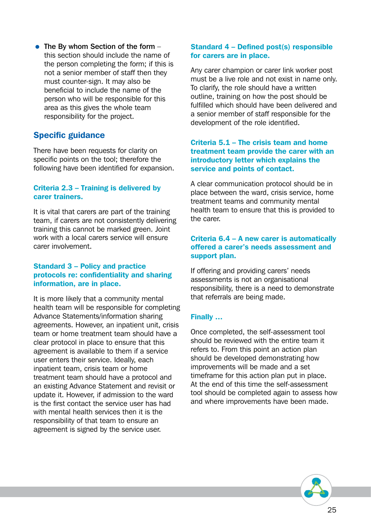• The By whom Section of the form  $$ this section should include the name of the person completing the form; if this is not a senior member of staff then they must counter-sign. It may also be beneficial to include the name of the person who will be responsible for this area as this gives the whole team responsibility for the project.

#### Specific guidance

There have been requests for clarity on specific points on the tool; therefore the following have been identified for expansion.

#### Criteria 2.3 – Training is delivered by carer trainers.

It is vital that carers are part of the training team, if carers are not consistently delivering training this cannot be marked green. Joint work with a local carers service will ensure carer involvement.

#### Standard 3 – Policy and practice protocols re: confidentiality and sharing information, are in place.

It is more likely that a community mental health team will be responsible for completing Advance Statements/information sharing agreements. However, an inpatient unit, crisis team or home treatment team should have a clear protocol in place to ensure that this agreement is available to them if a service user enters their service. Ideally, each inpatient team, crisis team or home treatment team should have a protocol and an existing Advance Statement and revisit or update it. However, if admission to the ward is the first contact the service user has had with mental health services then it is the responsibility of that team to ensure an agreement is signed by the service user.

#### Standard 4 – Defined post(s) responsible for carers are in place.

Any carer champion or carer link worker post must be a live role and not exist in name only. To clarify, the role should have a written outline, training on how the post should be fulfilled which should have been delivered and a senior member of staff responsible for the development of the role identified.

#### Criteria 5.1 – The crisis team and home treatment team provide the carer with an introductory letter which explains the service and points of contact.

A clear communication protocol should be in place between the ward, crisis service, home treatment teams and community mental health team to ensure that this is provided to the carer.

#### Criteria 6.4 – A new carer is automatically offered a carer's needs assessment and support plan.

If offering and providing carers' needs assessments is not an organisational responsibility, there is a need to demonstrate that referrals are being made.

#### Finally …

Once completed, the self-assessment tool should be reviewed with the entire team it refers to. From this point an action plan should be developed demonstrating how improvements will be made and a set timeframe for this action plan put in place. At the end of this time the self-assessment tool should be completed again to assess how and where improvements have been made.

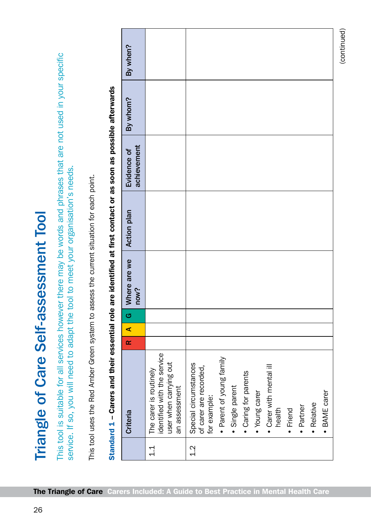| $\overline{\phantom{0}}$<br>$\overline{\phantom{a}}$ |
|------------------------------------------------------|
|                                                      |
| is<br>Sound Code<br>Sound Code                       |
|                                                      |
| $\sum_{i=1}^{n}$                                     |
| į                                                    |
| I<br>ļ<br>l                                          |

This tool is suitable for all services however there may be words and phrases that are not used in your specific This tool is suitable for all services however there may be words and phrases that are not used in your specific service. If so, you will need to adapt the tool to meet your organisation's needs. service. If so, you will need to adapt the tool to meet your organisation's needs.

This tool uses the Red Amber Green system to assess the current situation for each point. This tool uses the Red Amber Green system to assess the current situation for each point.

| By when?                   |                                                                                                  |                                                                                                                                                                                                                                                     |
|----------------------------|--------------------------------------------------------------------------------------------------|-----------------------------------------------------------------------------------------------------------------------------------------------------------------------------------------------------------------------------------------------------|
| By whom?                   |                                                                                                  |                                                                                                                                                                                                                                                     |
| achievement<br>Evidence of |                                                                                                  |                                                                                                                                                                                                                                                     |
| <b>Action plan</b>         |                                                                                                  |                                                                                                                                                                                                                                                     |
| Where are we<br>now?       |                                                                                                  |                                                                                                                                                                                                                                                     |
| G                          |                                                                                                  |                                                                                                                                                                                                                                                     |
| ⋖                          |                                                                                                  |                                                                                                                                                                                                                                                     |
| œ                          |                                                                                                  |                                                                                                                                                                                                                                                     |
| Criteria                   | identified with the service<br>user when carrying out<br>The carer is routinely<br>an assessment | · Parent of young family<br>Special circumstances<br>• Carer with mental ill<br>of carer are recorded,<br>• Caring for parents<br>· Single parent<br>• Young carer<br>· BAME carer<br>for example:<br>· Relative<br>· Partner<br>health<br>· Friend |
|                            | $\frac{1}{1}$                                                                                    | $\frac{2}{1}$                                                                                                                                                                                                                                       |

(continued)

(continued)

# Standard 1 - Carers and their essential role are identified at first contact or as soon as possible afterwards Standard 1 – Carers and their essential role are identified at first contact or as soon as possible afterwards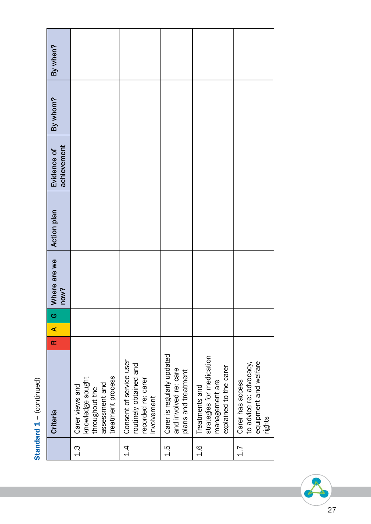| ì |
|---|
| I |
| t |
|   |
|   |

| Criteria                                                                                     | œ | ⋖ | G | Where are we<br>now? | <b>Action plan</b> | achievement<br>Evidence of | By whom? | By when? |
|----------------------------------------------------------------------------------------------|---|---|---|----------------------|--------------------|----------------------------|----------|----------|
| treatment process<br>knowledge sought<br>assessment and<br>Carer views and<br>throughout the |   |   |   |                      |                    |                            |          |          |
| Consent of service user<br>routinely obtained and<br>recorded re: carer<br>involvement       |   |   |   |                      |                    |                            |          |          |
| Carer is regularly updated<br>and involved re: care<br>plans and treatment                   |   |   |   |                      |                    |                            |          |          |
| strategies for medication<br>explained to the carer<br>management are<br>Treatments and      |   |   |   |                      |                    |                            |          |          |
| equipment and welfare<br>to advice re: advocacy,<br>Carer has access<br>rights               |   |   |   |                      |                    |                            |          |          |

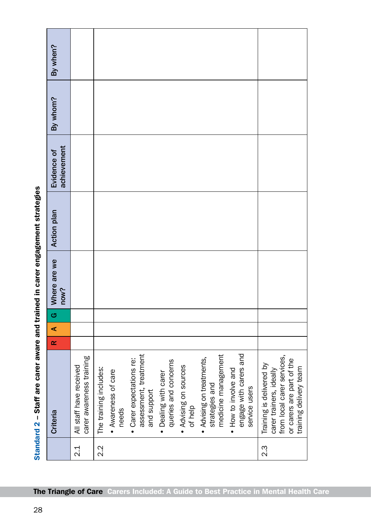| $2.\overline{3}$<br>2.2<br>$\frac{1}{2}$ | assessment, treatment<br>engage with carers and<br>medicine management<br>carer awareness training<br>Advising on treatments,<br>Carer expectations re:<br>queries and concerns<br>Training is delivered by<br>Advising on sources<br>All staff have received<br>The training includes:<br>How to involve and<br>carer trainers, ideally<br>• Awareness of care<br>Dealing with carer<br>strategies and<br>service users<br>and support<br>of help<br>needs<br>Criteria<br>$\bullet$<br>$\bullet$<br>$\bullet$<br>$\bullet$<br>$\bullet$ | $\blacktriangleleft$<br>$\propto$ | $\sigma$ | Where are we<br>now? | <b>Action plan</b> | achievement<br>Evidence of | By whom? | By when? |
|------------------------------------------|------------------------------------------------------------------------------------------------------------------------------------------------------------------------------------------------------------------------------------------------------------------------------------------------------------------------------------------------------------------------------------------------------------------------------------------------------------------------------------------------------------------------------------------|-----------------------------------|----------|----------------------|--------------------|----------------------------|----------|----------|
|                                          | from local carer services,<br>or carers are part of the<br>training delivery team                                                                                                                                                                                                                                                                                                                                                                                                                                                        |                                   |          |                      |                    |                            |          |          |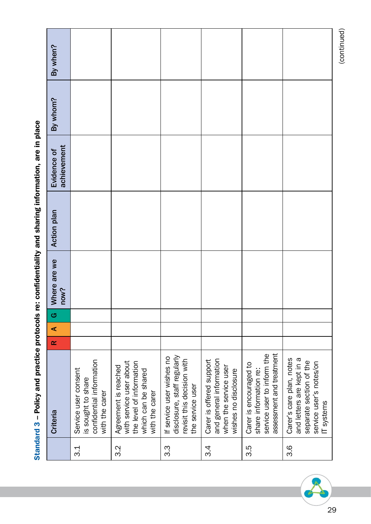|        | Criteria                                                                                                                  | $\propto$ | ⋖ | G | Where are we<br>now? | <b>Action plan</b> | achievement<br>Evidence of | By whom? | By when? |
|--------|---------------------------------------------------------------------------------------------------------------------------|-----------|---|---|----------------------|--------------------|----------------------------|----------|----------|
| ე<br>ვ | confidential information<br>Service user consent<br>is sought to share<br>with the carer                                  |           |   |   |                      |                    |                            |          |          |
| 3.2    | with service user about<br>the level of information<br>Agreement is reached<br>which can be shared<br>with the carer      |           |   |   |                      |                    |                            |          |          |
| 3.3    | disclosure, staff regularly<br>If service user wishes no<br>revisit this decision with<br>the service user                |           |   |   |                      |                    |                            |          |          |
| ვ.4    | and general information<br>Carer is offered support<br>when the service user<br>wishes no disclosure                      |           |   |   |                      |                    |                            |          |          |
| 3.5    | assessment and treatment<br>service user to inform the<br>Carer is encouraged to<br>share information re:                 |           |   |   |                      |                    |                            |          |          |
| 3.6    | Carer's care plan, notes<br>and letters are kept in a<br>separate section of the<br>service user's notes/on<br>IT systems |           |   |   |                      |                    |                            |          |          |

Standard 3 - Policy and practice protocols re: confidentiality and sharing information, are in place Standard 3 – Policy and practice protocols re: confidentiality and sharing information, are in place



(continued) (continued)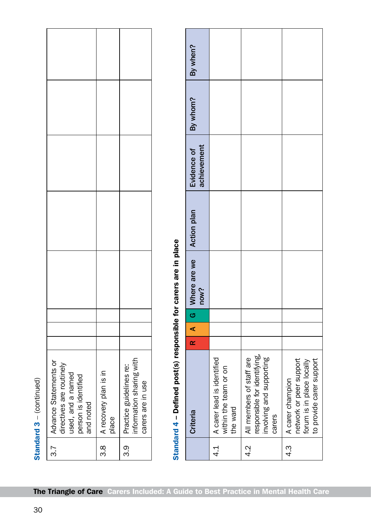|                                                                                                             |                                |                                                                          |                                              | By when?                   |                                                                 |                                                                                                |                                                                                                      |
|-------------------------------------------------------------------------------------------------------------|--------------------------------|--------------------------------------------------------------------------|----------------------------------------------|----------------------------|-----------------------------------------------------------------|------------------------------------------------------------------------------------------------|------------------------------------------------------------------------------------------------------|
|                                                                                                             |                                |                                                                          |                                              | By whom?                   |                                                                 |                                                                                                |                                                                                                      |
|                                                                                                             |                                |                                                                          |                                              | achievement<br>Evidence of |                                                                 |                                                                                                |                                                                                                      |
|                                                                                                             |                                |                                                                          |                                              | Action plan                |                                                                 |                                                                                                |                                                                                                      |
|                                                                                                             |                                |                                                                          | carers are in place                          | Where are we<br>now?       |                                                                 |                                                                                                |                                                                                                      |
|                                                                                                             |                                |                                                                          |                                              | G                          |                                                                 |                                                                                                |                                                                                                      |
|                                                                                                             |                                |                                                                          |                                              | ⋖                          |                                                                 |                                                                                                |                                                                                                      |
|                                                                                                             |                                |                                                                          |                                              | $\propto$                  |                                                                 |                                                                                                |                                                                                                      |
| Advance Statements or<br>directives are routinely<br>used, and a named<br>person is identified<br>and noted | A recovery plan is in<br>place | information sharing with<br>Practice guidelines re:<br>carers are in use | Standard 4 - Defined post(s) responsible for | Criteria                   | A carer lead is identified<br>within the team or on<br>the ward | responsible for identifying,<br>involving and supporting<br>All members of staff are<br>carers | network or peer support<br>to provide carer support<br>forum is in place locally<br>A carer champion |
| 3.7                                                                                                         | $3.\overline{8}$               | 3.9                                                                      |                                              |                            | $\frac{1}{4}$                                                   | 4.2                                                                                            | $4.\overline{3}$                                                                                     |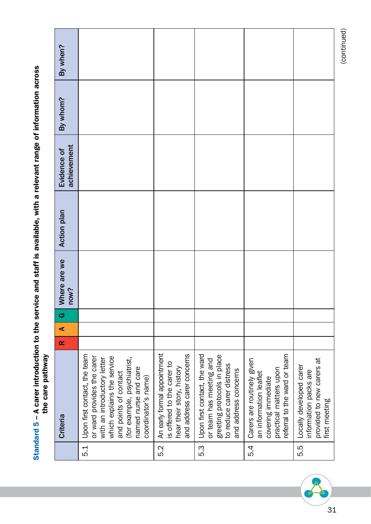|     | <b>Powerships Direct Direct</b>                                                                                                                                                                                                |          |                      |   |                      |                    |                            |          |          |
|-----|--------------------------------------------------------------------------------------------------------------------------------------------------------------------------------------------------------------------------------|----------|----------------------|---|----------------------|--------------------|----------------------------|----------|----------|
|     | Criteria                                                                                                                                                                                                                       | $\alpha$ | $\blacktriangleleft$ | G | Where are we<br>now? | <b>Action plan</b> | achievement<br>Evidence of | By whom? | By when? |
| 5.1 | Upon first contact, the team<br>or ward provides the carer<br>which explains the service<br>(for example, psychiatrist,<br>with an introductory letter<br>named nurse and care<br>and points of contact<br>coordinator's name) |          |                      |   |                      |                    |                            |          |          |
| 5.2 | An early formal appointment<br>and address carer concerns<br>is offered to the carer to<br>hear their story, history                                                                                                           |          |                      |   |                      |                    |                            |          |          |
| 5.3 | Upon first contact, the ward<br>greeting protocols in place<br>or team has meeting and<br>to reduce carer distress<br>and address concerns                                                                                     |          |                      |   |                      |                    |                            |          |          |
| 5.4 | referral to the ward or team<br>Carers are routinely given<br>practical matters upon<br>an information leaflet<br>covering immediate                                                                                           |          |                      |   |                      |                    |                            |          |          |
| 5.5 | provided to new carers at<br>Locally developed carer<br>information packs are<br>first meeting                                                                                                                                 |          |                      |   |                      |                    |                            |          |          |

# Standard 5 – A carer introduction to the service and staff is available, with a relevant range of information across<br>the care pathwav Standard 5 – A carer introduction to the service and staff is available, with a relevant range of information across the care pathway



(continued)

(continued)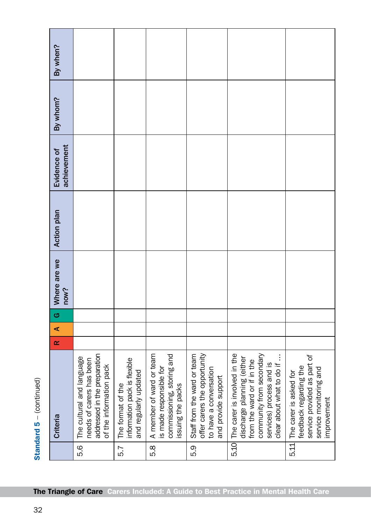| By when?<br>By whom?       |                                                                                                                  |                                                                            |                                                                                                        |                                                                                                              |                                                                                                                                                                               |                                                                                                                          |
|----------------------------|------------------------------------------------------------------------------------------------------------------|----------------------------------------------------------------------------|--------------------------------------------------------------------------------------------------------|--------------------------------------------------------------------------------------------------------------|-------------------------------------------------------------------------------------------------------------------------------------------------------------------------------|--------------------------------------------------------------------------------------------------------------------------|
|                            |                                                                                                                  |                                                                            |                                                                                                        |                                                                                                              |                                                                                                                                                                               |                                                                                                                          |
| achievement<br>Evidence of |                                                                                                                  |                                                                            |                                                                                                        |                                                                                                              |                                                                                                                                                                               |                                                                                                                          |
| Action plan                |                                                                                                                  |                                                                            |                                                                                                        |                                                                                                              |                                                                                                                                                                               |                                                                                                                          |
| Where are we<br>now?       |                                                                                                                  |                                                                            |                                                                                                        |                                                                                                              |                                                                                                                                                                               |                                                                                                                          |
| G                          |                                                                                                                  |                                                                            |                                                                                                        |                                                                                                              |                                                                                                                                                                               |                                                                                                                          |
| $\blacktriangleleft$       |                                                                                                                  |                                                                            |                                                                                                        |                                                                                                              |                                                                                                                                                                               |                                                                                                                          |
| $\propto$                  |                                                                                                                  |                                                                            |                                                                                                        |                                                                                                              |                                                                                                                                                                               |                                                                                                                          |
| Criteria                   | addressed in the preparation<br>The cultural and language<br>needs of carers has been<br>of the information pack | information pack is flexible<br>and regularly updated<br>The format of the | A member of ward or team<br>commissioning, storing and<br>is made responsible for<br>issuing the packs | offer carers the opportunity<br>Staff from the ward or team<br>to have a conversation<br>and provide support | community from secondary<br>The carer is involved in the<br>discharge planning (either<br>clear about what to do if<br>from the ward or if in the<br>services) process and is | service provided as part of<br>feedback regarding the<br>service monitoring and<br>The carer is asked for<br>improvement |
|                            | 5.6                                                                                                              | 5.7                                                                        | 5.8                                                                                                    | 5.9                                                                                                          | 5.10                                                                                                                                                                          | 5.11                                                                                                                     |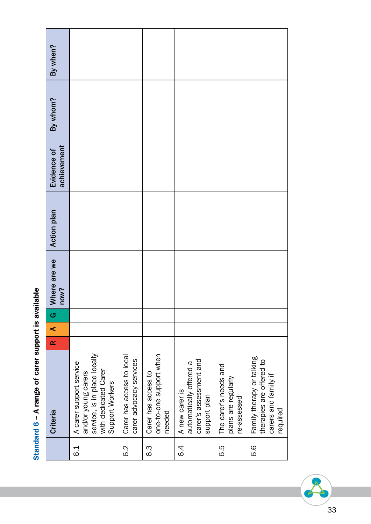| <b>Criteria</b>                                                                                                           | $\alpha$ | ⋖ | ပာ | Where are we | <b>Action plan</b> | Evidence of | By whom? | By when? |
|---------------------------------------------------------------------------------------------------------------------------|----------|---|----|--------------|--------------------|-------------|----------|----------|
|                                                                                                                           |          |   |    | now?         |                    | achievement |          |          |
| service, is in place locally<br>A carer support service<br>with dedicated Carer<br>and/or young carers<br>Support Workers |          |   |    |              |                    |             |          |          |
| Carer has access to local<br>carer advocacy services                                                                      |          |   |    |              |                    |             |          |          |
| one-to-one support when<br>Carer has access to<br>needed                                                                  |          |   |    |              |                    |             |          |          |
| carer's assessment and<br>automatically offered a<br>A new carer is<br>support plan                                       |          |   |    |              |                    |             |          |          |
| The carer's needs and<br>plans are regularly<br>re-assessed                                                               |          |   |    |              |                    |             |          |          |
| Family therapy or talking<br>therapies are offered to<br>carers and family if<br>required                                 |          |   |    |              |                    |             |          |          |

# Standard 6 - A range of carer support is available Standard 6 – A range of carer support is available

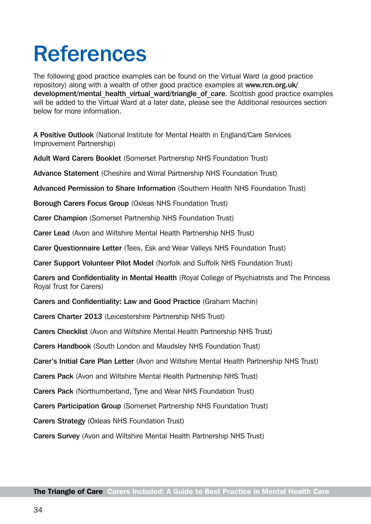# <span id="page-35-0"></span>References

The following good practice examples can be found on the Virtual Ward (a good practice repository) along with a wealth of other good practice examples at [www.rcn.org.uk/](http://www.rcn.org.uk/development/mental_health_virtual_ward/triangle_of_care) development/mental health virtual ward/triangle of care. Scottish good practice examples will be added to the Virtual Ward at a later date, please see the Additional resources section below for more information.

A Positive Outlook (National Institute for Mental Health in England/Care Services Improvement Partnership)

Adult Ward Carers Booklet (Somerset Partnership NHS Foundation Trust)

Advance Statement (Cheshire and Wirral Partnership NHS Foundation Trust)

Advanced Permission to Share Information (Southern Health NHS Foundation Trust)

Borough Carers Focus Group (Oxleas NHS Foundation Trust)

Carer Champion (Somerset Partnership NHS Foundation Trust)

Carer Lead (Avon and Wiltshire Mental Health Partnership NHS Trust)

Carer Questionnaire Letter (Tees, Esk and Wear Valleys NHS Foundation Trust)

Carer Support Volunteer Pilot Model (Norfolk and Suffolk NHS Foundation Trust)

Carers and Confidentiality in Mental Health (Royal College of Psychiatrists and The Princess Royal Trust for Carers)

Carers and Confidentiality: Law and Good Practice (Graham Machin)

Carers Charter 2013 (Leicestershire Partnership NHS Trust)

Carers Checklist (Avon and Wiltshire Mental Health Partnership NHS Trust)

Carers Handbook (South London and Maudsley NHS Foundation Trust)

Carer's Initial Care Plan Letter (Avon and Wiltshire Mental Health Partnership NHS Trust)

Carers Pack (Avon and Wiltshire Mental Health Partnership NHS Trust)

Carers Pack (Northumberland, Tyne and Wear NHS Foundation Trust)

Carers Participation Group (Somerset Partnership NHS Foundation Trust)

Carers Strategy (Oxleas NHS Foundation Trust)

Carers Survey (Avon and Wiltshire Mental Health Partnership NHS Trust)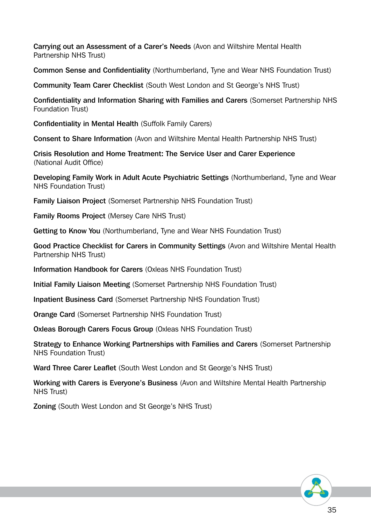Carrying out an Assessment of a Carer's Needs (Avon and Wiltshire Mental Health Partnership NHS Trust)

Common Sense and Confidentiality (Northumberland, Tyne and Wear NHS Foundation Trust)

Community Team Carer Checklist (South West London and St George's NHS Trust)

Confidentiality and Information Sharing with Families and Carers (Somerset Partnership NHS Foundation Trust)

Confidentiality in Mental Health (Suffolk Family Carers)

Consent to Share Information (Avon and Wiltshire Mental Health Partnership NHS Trust)

Crisis Resolution and Home Treatment: The Service User and Carer Experience (National Audit Office)

Developing Family Work in Adult Acute Psychiatric Settings (Northumberland, Tyne and Wear NHS Foundation Trust)

Family Liaison Project (Somerset Partnership NHS Foundation Trust)

Family Rooms Project (Mersey Care NHS Trust)

Getting to Know You (Northumberland, Tyne and Wear NHS Foundation Trust)

Good Practice Checklist for Carers in Community Settings (Avon and Wiltshire Mental Health Partnership NHS Trust)

Information Handbook for Carers (Oxleas NHS Foundation Trust)

Initial Family Liaison Meeting (Somerset Partnership NHS Foundation Trust)

Inpatient Business Card (Somerset Partnership NHS Foundation Trust)

Orange Card (Somerset Partnership NHS Foundation Trust)

Oxleas Borough Carers Focus Group (Oxleas NHS Foundation Trust)

Strategy to Enhance Working Partnerships with Families and Carers (Somerset Partnership NHS Foundation Trust)

Ward Three Carer Leaflet (South West London and St George's NHS Trust)

Working with Carers is Everyone's Business (Avon and Wiltshire Mental Health Partnership NHS Trust)

Zoning (South West London and St George's NHS Trust)

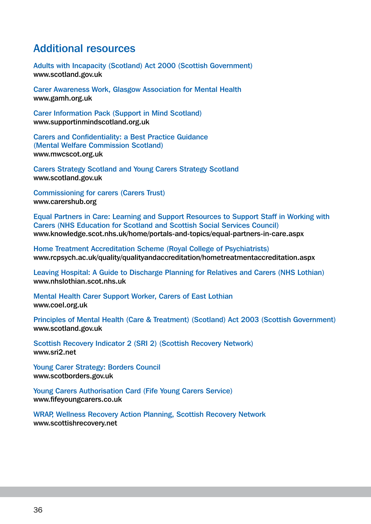#### Additional resources

Adults with Incapacity (Scotland) Act 2000 (Scottish Government) [www.](http://www.scotland.gov.uk)scotland.gov.uk

Carer Awareness Work, Glasgow Association for Mental Health [www.gamh.org.uk](http://www.gamh.org.uk)

Carer Information Pack (Support in Mind Scotland) [www.supportinmindscotland.org.uk](http://www.supportinmindscotland.org.uk)

Carers and Confidentiality: a Best Practice Guidance (Mental Welfare Commission Scotland) [www.mwcscot.org.uk](http://www.mwcscot.org.uk)

Carers Strategy Scotland and Young Carers Strategy Scotland [www.scotland.gov.uk](http://www.scotland.gov.uk)

Commissioning for carers (Carers Trust) [www.carershub.org](http://www.carershub.org)

Equal Partners in Care: Learning and Support Resources to Support Staff in Working with Carers (NHS Education for Scotland and Scottish Social Services Council) [www.knowledge.scot.nhs.uk/home/portals-and-topics/equal-partners-in-care.aspx](http://www.knowledge.scot.nhs.uk/home/portals-and-topics/equal-partners-in-care.aspx)

Home Treatment Accreditation Scheme (Royal College of Psychiatrists) [www.rcpsych.ac.uk/quality/qualityandaccreditation/hometreatmentaccreditation.aspx](http://www.rcpsych.ac.uk/quality/qualityandaccreditation/hometreatmentaccreditation.aspx)

Leaving Hospital: A Guide to Discharge Planning for Relatives and Carers (NHS Lothian) [www.nhslothian.scot.nhs.uk](http://www.nhslothian.scot.nhs.uk)

Mental Health Carer Support Worker, Carers of East Lothian [www.coel.org.uk](http://www.coel.org.uk)

Principles of Mental Health (Care & Treatment) (Scotland) Act 2003 (Scottish Government) [www.scotland.gov.uk](http://www.scot.gov.uk)

Scottish Recovery Indicator 2 (SRI 2) (Scottish Recovery Network) [www.sri2.net](http://www.sri2.net)

Young Carer Strategy: Borders Council [www.scotborders.gov.uk](http://www.scotborders.gov.uk)

Young Carers Authorisation Card (Fife Young Carers Service) [www.fifeyoungcarers.co.uk](http://www.fifeyoungcarers.co.uk)

WRAP, Wellness Recovery Action Planning, Scottish Recovery Network [www.scottishrecovery.net](http://www.scottishrecovery.net)